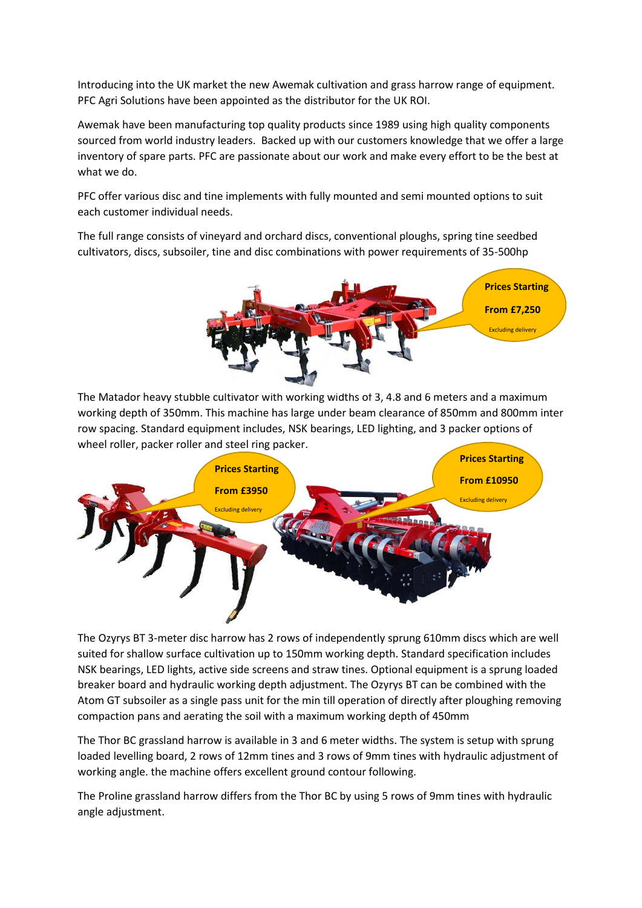Introducing into the UK market the new Awemak cultivation and grass harrow range of equipment. PFC Agri Solutions have been appointed as the distributor for the UK ROI.

Awemak have been manufacturing top quality products since 1989 using high quality components sourced from world industry leaders. Backed up with our customers knowledge that we offer a large inventory of spare parts. PFC are passionate about our work and make every effort to be the best at what we do.

PFC offer various disc and tine implements with fully mounted and semi mounted options to suit each customer individual needs.

The full range consists of vineyard and orchard discs, conventional ploughs, spring tine seedbed cultivators, discs, subsoiler, tine and disc combinations with power requirements of 35-500hp



The Matador heavy stubble cultivator with working widths of 3, 4.8 and 6 meters and a maximum working depth of 350mm. This machine has large under beam clearance of 850mm and 800mm inter row spacing. Standard equipment includes, NSK bearings, LED lighting, and 3 packer options of wheel roller, packer roller and steel ring packer.



The Ozyrys BT 3-meter disc harrow has 2 rows of independently sprung 610mm discs which are well suited for shallow surface cultivation up to 150mm working depth. Standard specification includes NSK bearings, LED lights, active side screens and straw tines. Optional equipment is a sprung loaded breaker board and hydraulic working depth adjustment. The Ozyrys BT can be combined with the Atom GT subsoiler as a single pass unit for the min till operation of directly after ploughing removing compaction pans and aerating the soil with a maximum working depth of 450mm

The Thor BC grassland harrow is available in 3 and 6 meter widths. The system is setup with sprung loaded levelling board, 2 rows of 12mm tines and 3 rows of 9mm tines with hydraulic adjustment of working angle. the machine offers excellent ground contour following.

The Proline grassland harrow differs from the Thor BC by using 5 rows of 9mm tines with hydraulic angle adjustment.